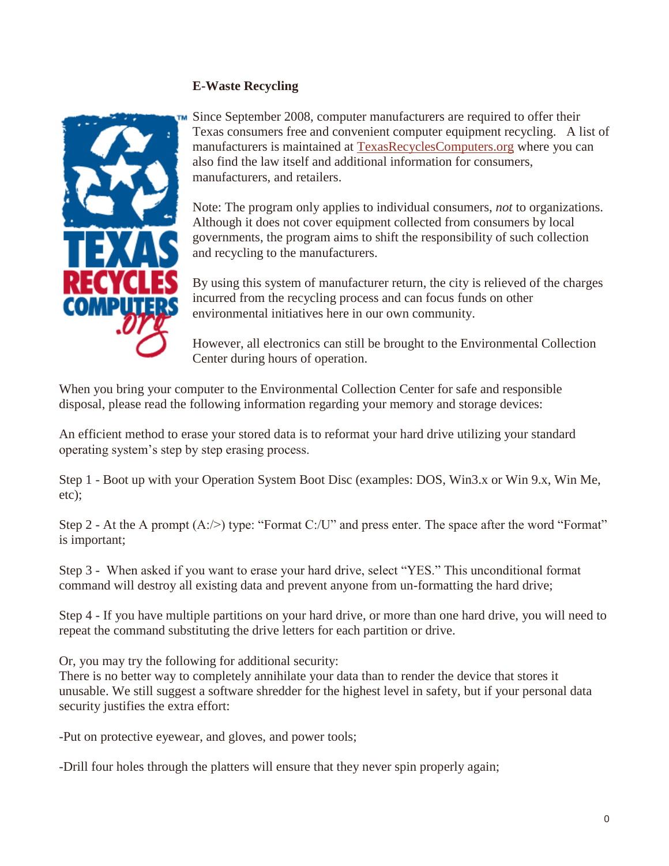## **E-Waste Recycling**



Since September 2008, computer manufacturers are required to offer their Texas consumers free and convenient computer equipment recycling. A list of manufacturers is maintained at [TexasRecyclesComputers.org](http://www.texasrecyclescomputers.org/) where you can also find the law itself and additional information for consumers, manufacturers, and retailers.

Note: The program only applies to individual consumers, *not* to organizations. Although it does not cover equipment collected from consumers by local governments, the program aims to shift the responsibility of such collection and recycling to the manufacturers.

By using this system of manufacturer return, the city is relieved of the charges incurred from the recycling process and can focus funds on other environmental initiatives here in our own community.

However, all electronics can still be brought to the Environmental Collection Center during hours of operation.

When you bring your computer to the Environmental Collection Center for safe and responsible disposal, please read the following information regarding your memory and storage devices:

An efficient method to erase your stored data is to reformat your hard drive utilizing your standard operating system's step by step erasing process.

Step 1 - Boot up with your Operation System Boot Disc (examples: DOS, Win3.x or Win 9.x, Win Me, etc);

Step 2 - At the A prompt  $(A:\geq)$  type: "Format C:/U" and press enter. The space after the word "Format" is important;

Step 3 - When asked if you want to erase your hard drive, select "YES." This unconditional format command will destroy all existing data and prevent anyone from un-formatting the hard drive;

Step 4 - If you have multiple partitions on your hard drive, or more than one hard drive, you will need to repeat the command substituting the drive letters for each partition or drive.

Or, you may try the following for additional security:

There is no better way to completely annihilate your data than to render the device that stores it unusable. We still suggest a software shredder for the highest level in safety, but if your personal data security justifies the extra effort:

-Put on protective eyewear, and gloves, and power tools;

-Drill four holes through the platters will ensure that they never spin properly again;